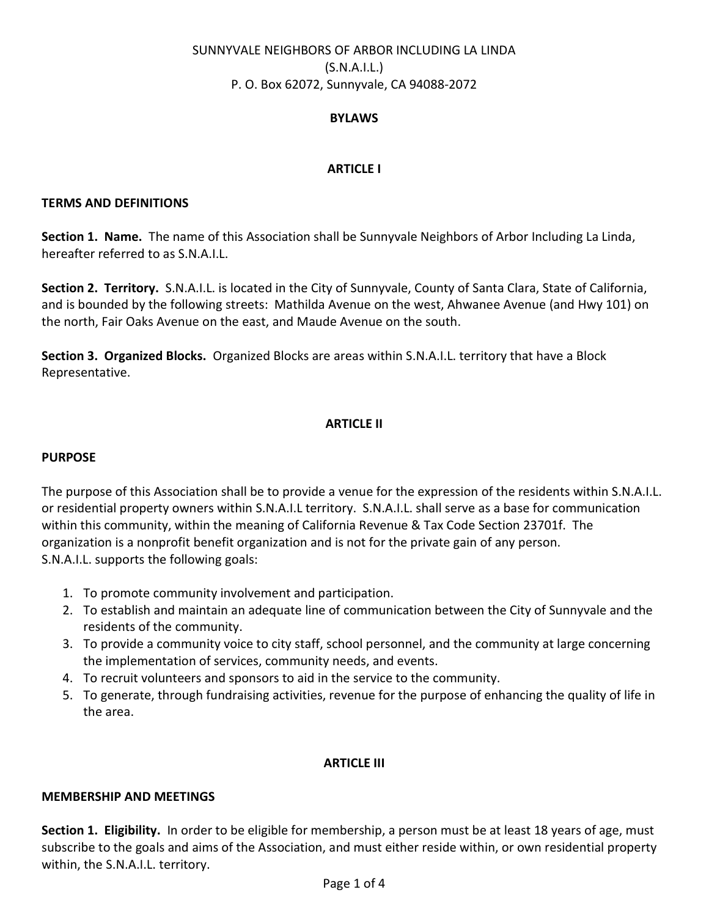# SUNNYVALE NEIGHBORS OF ARBOR INCLUDING LA LINDA (S.N.A.I.L.) P. O. Box 62072, Sunnyvale, CA 94088-2072

# BYLAWS

# ARTICLE I

### TERMS AND DEFINITIONS

Section 1. Name. The name of this Association shall be Sunnyvale Neighbors of Arbor Including La Linda, hereafter referred to as S.N.A.I.L.

Section 2. Territory. S.N.A.I.L. is located in the City of Sunnyvale, County of Santa Clara, State of California, and is bounded by the following streets: Mathilda Avenue on the west, Ahwanee Avenue (and Hwy 101) on the north, Fair Oaks Avenue on the east, and Maude Avenue on the south.

Section 3. Organized Blocks. Organized Blocks are areas within S.N.A.I.L. territory that have a Block Representative.

# ARTICLE II

### PURPOSE

The purpose of this Association shall be to provide a venue for the expression of the residents within S.N.A.I.L. or residential property owners within S.N.A.I.L territory. S.N.A.I.L. shall serve as a base for communication within this community, within the meaning of California Revenue & Tax Code Section 23701f. The organization is a nonprofit benefit organization and is not for the private gain of any person. S.N.A.I.L. supports the following goals:

- 1. To promote community involvement and participation.
- 2. To establish and maintain an adequate line of communication between the City of Sunnyvale and the residents of the community.
- 3. To provide a community voice to city staff, school personnel, and the community at large concerning the implementation of services, community needs, and events.
- 4. To recruit volunteers and sponsors to aid in the service to the community.
- 5. To generate, through fundraising activities, revenue for the purpose of enhancing the quality of life in the area.

# ARTICLE III

# MEMBERSHIP AND MEETINGS

Section 1. Eligibility. In order to be eligible for membership, a person must be at least 18 years of age, must subscribe to the goals and aims of the Association, and must either reside within, or own residential property within, the S.N.A.I.L. territory.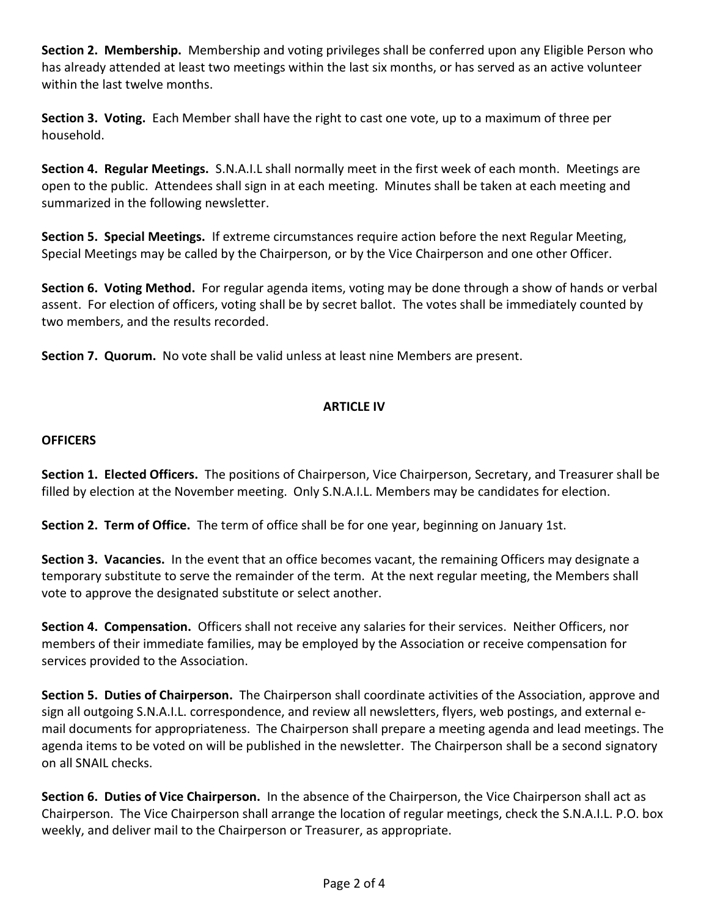Section 2. Membership. Membership and voting privileges shall be conferred upon any Eligible Person who has already attended at least two meetings within the last six months, or has served as an active volunteer within the last twelve months.

Section 3. Voting. Each Member shall have the right to cast one vote, up to a maximum of three per household.

Section 4. Regular Meetings. S.N.A.I.L shall normally meet in the first week of each month. Meetings are open to the public. Attendees shall sign in at each meeting. Minutes shall be taken at each meeting and summarized in the following newsletter.

Section 5. Special Meetings. If extreme circumstances require action before the next Regular Meeting, Special Meetings may be called by the Chairperson, or by the Vice Chairperson and one other Officer.

Section 6. Voting Method. For regular agenda items, voting may be done through a show of hands or verbal assent. For election of officers, voting shall be by secret ballot. The votes shall be immediately counted by two members, and the results recorded.

Section 7. Quorum. No vote shall be valid unless at least nine Members are present.

# ARTICLE IV

# **OFFICERS**

Section 1. Elected Officers. The positions of Chairperson, Vice Chairperson, Secretary, and Treasurer shall be filled by election at the November meeting. Only S.N.A.I.L. Members may be candidates for election.

Section 2. Term of Office. The term of office shall be for one year, beginning on January 1st.

Section 3. Vacancies. In the event that an office becomes vacant, the remaining Officers may designate a temporary substitute to serve the remainder of the term. At the next regular meeting, the Members shall vote to approve the designated substitute or select another.

Section 4. Compensation. Officers shall not receive any salaries for their services. Neither Officers, nor members of their immediate families, may be employed by the Association or receive compensation for services provided to the Association.

Section 5. Duties of Chairperson. The Chairperson shall coordinate activities of the Association, approve and sign all outgoing S.N.A.I.L. correspondence, and review all newsletters, flyers, web postings, and external email documents for appropriateness. The Chairperson shall prepare a meeting agenda and lead meetings. The agenda items to be voted on will be published in the newsletter. The Chairperson shall be a second signatory on all SNAIL checks.

Section 6. Duties of Vice Chairperson. In the absence of the Chairperson, the Vice Chairperson shall act as Chairperson. The Vice Chairperson shall arrange the location of regular meetings, check the S.N.A.I.L. P.O. box weekly, and deliver mail to the Chairperson or Treasurer, as appropriate.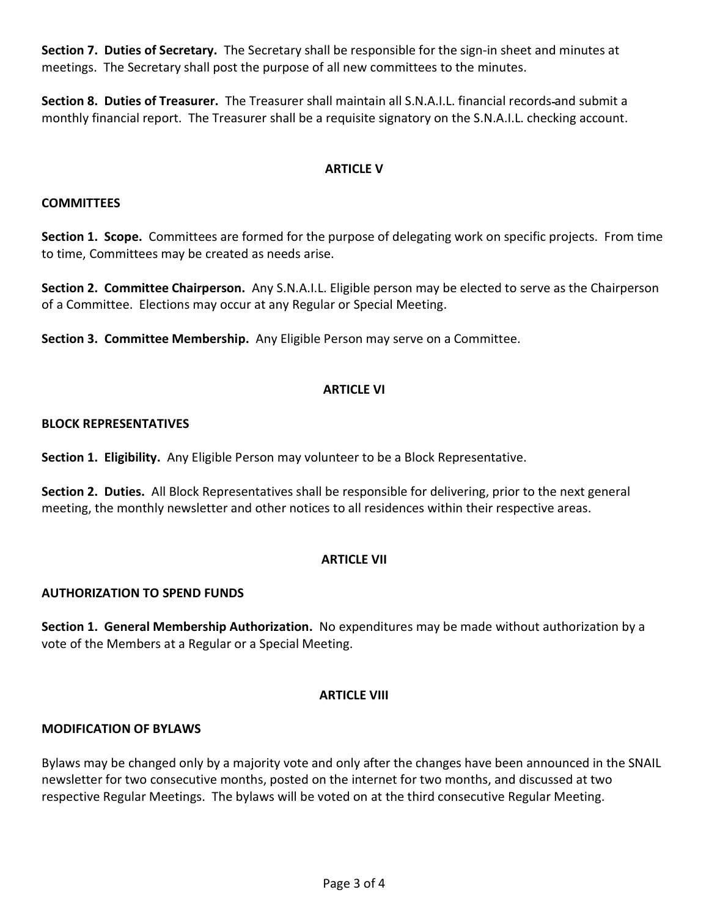Section 7. Duties of Secretary. The Secretary shall be responsible for the sign-in sheet and minutes at meetings. The Secretary shall post the purpose of all new committees to the minutes.

Section 8. Duties of Treasurer. The Treasurer shall maintain all S.N.A.I.L. financial records-and submit a monthly financial report. The Treasurer shall be a requisite signatory on the S.N.A.I.L. checking account.

# ARTICLE V

### **COMMITTEES**

Section 1. Scope. Committees are formed for the purpose of delegating work on specific projects. From time to time, Committees may be created as needs arise.

Section 2. Committee Chairperson. Any S.N.A.I.L. Eligible person may be elected to serve as the Chairperson of a Committee. Elections may occur at any Regular or Special Meeting.

Section 3. Committee Membership. Any Eligible Person may serve on a Committee.

#### ARTICLE VI

# BLOCK REPRESENTATIVES

Section 1. Eligibility. Any Eligible Person may volunteer to be a Block Representative.

Section 2. Duties. All Block Representatives shall be responsible for delivering, prior to the next general meeting, the monthly newsletter and other notices to all residences within their respective areas.

# ARTICLE VII

# AUTHORIZATION TO SPEND FUNDS

Section 1. General Membership Authorization. No expenditures may be made without authorization by a vote of the Members at a Regular or a Special Meeting.

# **ARTICLF VIII**

#### MODIFICATION OF BYLAWS

Bylaws may be changed only by a majority vote and only after the changes have been announced in the SNAIL newsletter for two consecutive months, posted on the internet for two months, and discussed at two respective Regular Meetings. The bylaws will be voted on at the third consecutive Regular Meeting.